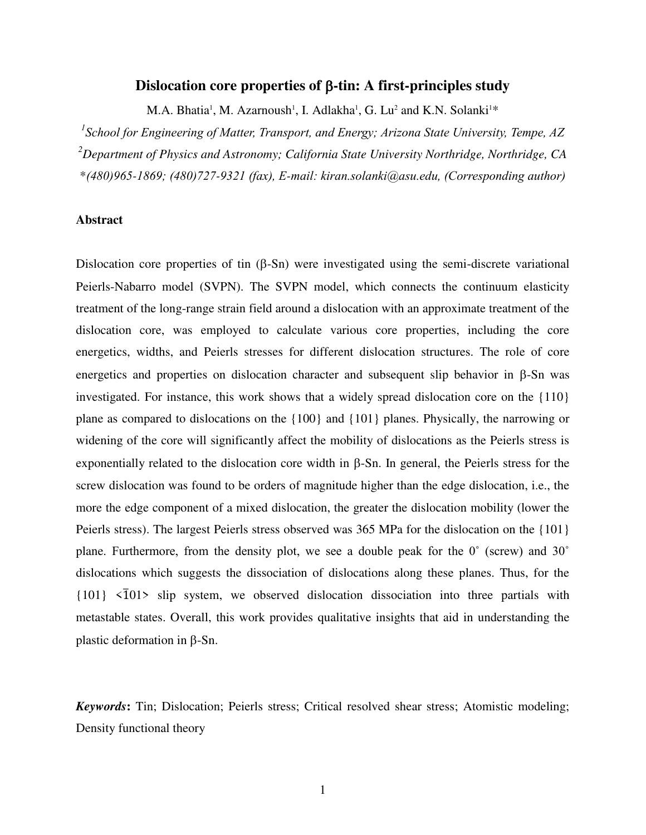# **Dislocation core properties of β-tin: A first-principles study**

M.A. Bhatia<sup>1</sup>, M. Azarnoush<sup>1</sup>, I. Adlakha<sup>1</sup>, G. Lu<sup>2</sup> and K.N. Solanki<sup>1\*</sup>

*1 School for Engineering of Matter, Transport, and Energy; Arizona State University, Tempe, AZ <sup>2</sup>Department of Physics and Astronomy; California State University Northridge, Northridge, CA*  \**(480)965-1869; (480)727-9321 (fax), E-mail: kiran.solanki@asu.edu, (Corresponding author)*

## **Abstract**

Dislocation core properties of tin  $(\beta - Sn)$  were investigated using the semi-discrete variational Peierls-Nabarro model (SVPN). The SVPN model, which connects the continuum elasticity treatment of the long-range strain field around a dislocation with an approximate treatment of the dislocation core, was employed to calculate various core properties, including the core energetics, widths, and Peierls stresses for different dislocation structures. The role of core energetics and properties on dislocation character and subsequent slip behavior in  $\beta$ -Sn was investigated. For instance, this work shows that a widely spread dislocation core on the {110} plane as compared to dislocations on the {100} and {101} planes. Physically, the narrowing or widening of the core will significantly affect the mobility of dislocations as the Peierls stress is exponentially related to the dislocation core width in  $\beta$ -Sn. In general, the Peierls stress for the screw dislocation was found to be orders of magnitude higher than the edge dislocation, i.e., the more the edge component of a mixed dislocation, the greater the dislocation mobility (lower the Peierls stress). The largest Peierls stress observed was 365 MPa for the dislocation on the {101} plane. Furthermore, from the density plot, we see a double peak for the 0˚ (screw) and 30˚ dislocations which suggests the dissociation of dislocations along these planes. Thus, for the  ${101} \times \overline{101}$  slip system, we observed dislocation dissociation into three partials with metastable states. Overall, this work provides qualitative insights that aid in understanding the plastic deformation in  $\beta$ -Sn.

*Keywords***:** Tin; Dislocation; Peierls stress; Critical resolved shear stress; Atomistic modeling; Density functional theory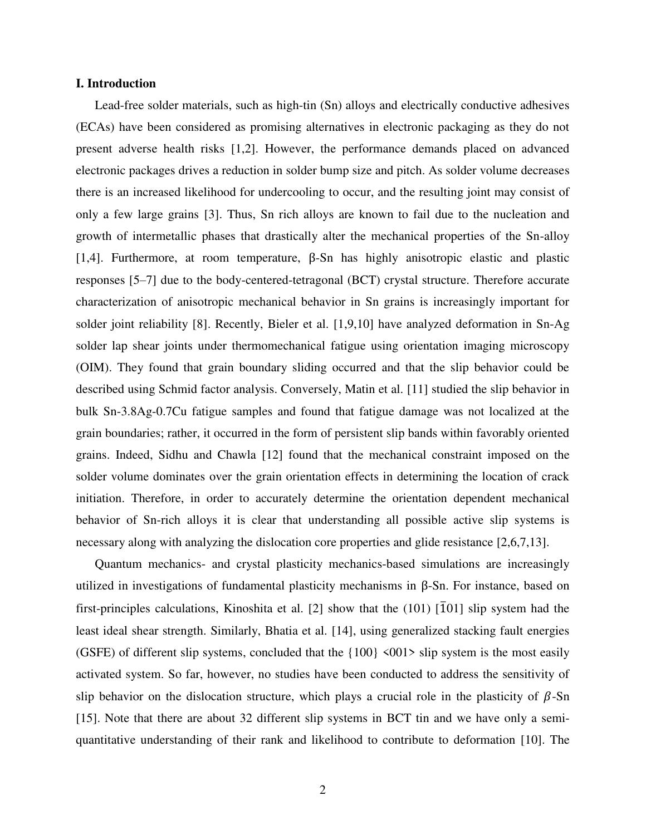## **I. Introduction**

Lead-free solder materials, such as high-tin (Sn) alloys and electrically conductive adhesives (ECAs) have been considered as promising alternatives in electronic packaging as they do not present adverse health risks [1,2]. However, the performance demands placed on advanced electronic packages drives a reduction in solder bump size and pitch. As solder volume decreases there is an increased likelihood for undercooling to occur, and the resulting joint may consist of only a few large grains [3]. Thus, Sn rich alloys are known to fail due to the nucleation and growth of intermetallic phases that drastically alter the mechanical properties of the Sn-alloy [1,4]. Furthermore, at room temperature, β-Sn has highly anisotropic elastic and plastic responses [5–7] due to the body-centered-tetragonal (BCT) crystal structure. Therefore accurate characterization of anisotropic mechanical behavior in Sn grains is increasingly important for solder joint reliability [8]. Recently, Bieler et al. [1,9,10] have analyzed deformation in Sn-Ag solder lap shear joints under thermomechanical fatigue using orientation imaging microscopy (OIM). They found that grain boundary sliding occurred and that the slip behavior could be described using Schmid factor analysis. Conversely, Matin et al. [11] studied the slip behavior in bulk Sn-3.8Ag-0.7Cu fatigue samples and found that fatigue damage was not localized at the grain boundaries; rather, it occurred in the form of persistent slip bands within favorably oriented grains. Indeed, Sidhu and Chawla [12] found that the mechanical constraint imposed on the solder volume dominates over the grain orientation effects in determining the location of crack initiation. Therefore, in order to accurately determine the orientation dependent mechanical behavior of Sn-rich alloys it is clear that understanding all possible active slip systems is necessary along with analyzing the dislocation core properties and glide resistance [2,6,7,13].

Quantum mechanics- and crystal plasticity mechanics-based simulations are increasingly utilized in investigations of fundamental plasticity mechanisms in β-Sn. For instance, based on first-principles calculations, Kinoshita et al. [2] show that the (101) [ $\overline{1}01$ ] slip system had the least ideal shear strength. Similarly, Bhatia et al. [14], using generalized stacking fault energies (GSFE) of different slip systems, concluded that the  $\{100\}$  <001> slip system is the most easily activated system. So far, however, no studies have been conducted to address the sensitivity of slip behavior on the dislocation structure, which plays a crucial role in the plasticity of  $\beta$ -Sn [15]. Note that there are about 32 different slip systems in BCT tin and we have only a semiquantitative understanding of their rank and likelihood to contribute to deformation [10]. The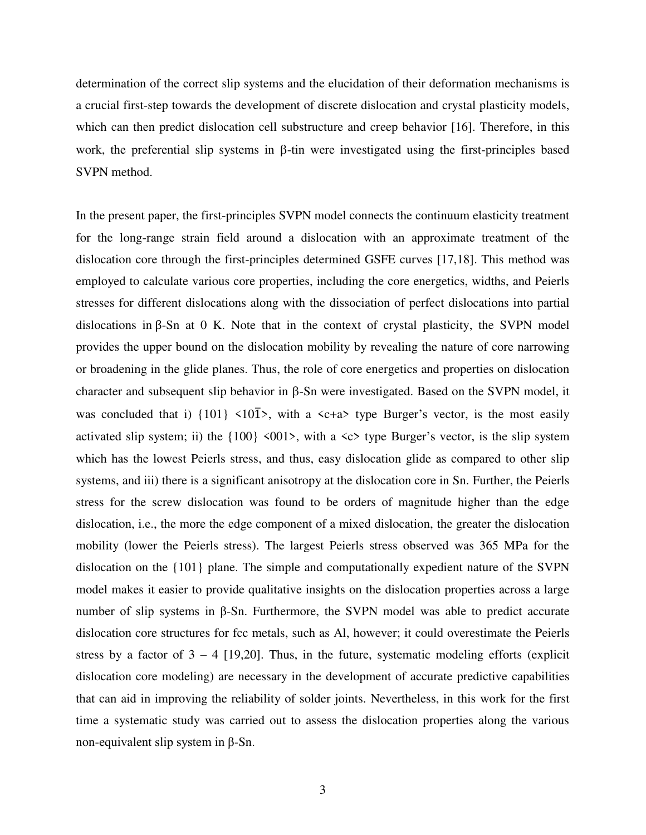determination of the correct slip systems and the elucidation of their deformation mechanisms is a crucial first-step towards the development of discrete dislocation and crystal plasticity models, which can then predict dislocation cell substructure and creep behavior [16]. Therefore, in this work, the preferential slip systems in  $\beta$ -tin were investigated using the first-principles based SVPN method.

In the present paper, the first-principles SVPN model connects the continuum elasticity treatment for the long-range strain field around a dislocation with an approximate treatment of the dislocation core through the first-principles determined GSFE curves [17,18]. This method was employed to calculate various core properties, including the core energetics, widths, and Peierls stresses for different dislocations along with the dissociation of perfect dislocations into partial dislocations in β-Sn at 0 K. Note that in the context of crystal plasticity, the SVPN model provides the upper bound on the dislocation mobility by revealing the nature of core narrowing or broadening in the glide planes. Thus, the role of core energetics and properties on dislocation character and subsequent slip behavior in  $\beta$ -Sn were investigated. Based on the SVPN model, it was concluded that i)  $\{101\}$  <10 $\overline{1}$ >, with a <c+a> type Burger's vector, is the most easily activated slip system; ii) the  $\{100\}$  <001>, with a <c> type Burger's vector, is the slip system which has the lowest Peierls stress, and thus, easy dislocation glide as compared to other slip systems, and iii) there is a significant anisotropy at the dislocation core in Sn. Further, the Peierls stress for the screw dislocation was found to be orders of magnitude higher than the edge dislocation, i.e., the more the edge component of a mixed dislocation, the greater the dislocation mobility (lower the Peierls stress). The largest Peierls stress observed was 365 MPa for the dislocation on the {101} plane. The simple and computationally expedient nature of the SVPN model makes it easier to provide qualitative insights on the dislocation properties across a large number of slip systems in β-Sn. Furthermore, the SVPN model was able to predict accurate dislocation core structures for fcc metals, such as Al, however; it could overestimate the Peierls stress by a factor of  $3 - 4$  [19,20]. Thus, in the future, systematic modeling efforts (explicit dislocation core modeling) are necessary in the development of accurate predictive capabilities that can aid in improving the reliability of solder joints. Nevertheless, in this work for the first time a systematic study was carried out to assess the dislocation properties along the various non-equivalent slip system in β-Sn.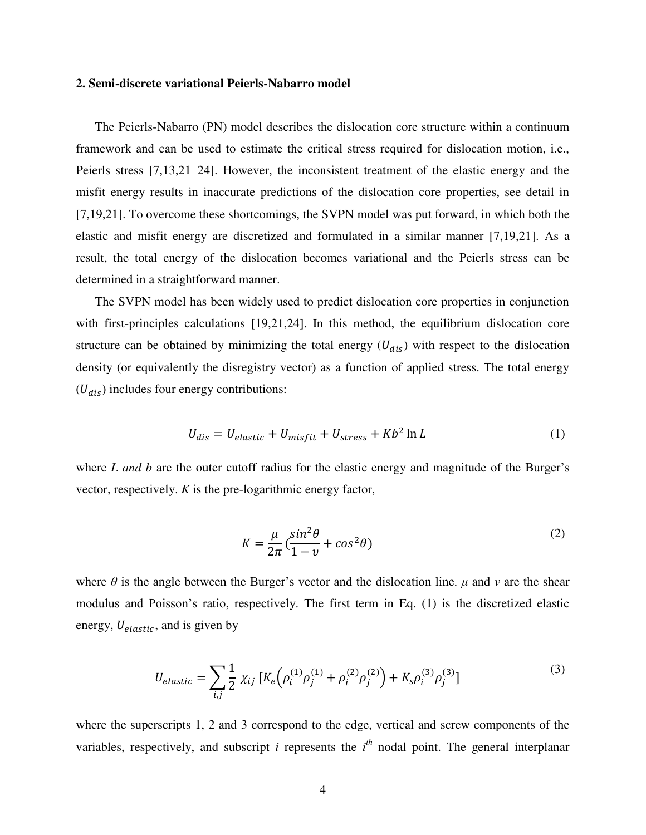## **2. Semi-discrete variational Peierls-Nabarro model**

The Peierls-Nabarro (PN) model describes the dislocation core structure within a continuum framework and can be used to estimate the critical stress required for dislocation motion, i.e., Peierls stress [7,13,21–24]. However, the inconsistent treatment of the elastic energy and the misfit energy results in inaccurate predictions of the dislocation core properties, see detail in [7,19,21]. To overcome these shortcomings, the SVPN model was put forward, in which both the elastic and misfit energy are discretized and formulated in a similar manner [7,19,21]. As a result, the total energy of the dislocation becomes variational and the Peierls stress can be determined in a straightforward manner.

The SVPN model has been widely used to predict dislocation core properties in conjunction with first-principles calculations [19,21,24]. In this method, the equilibrium dislocation core structure can be obtained by minimizing the total energy  $(U_{dis})$  with respect to the dislocation density (or equivalently the disregistry vector) as a function of applied stress. The total energy  $(U_{dis})$  includes four energy contributions:

$$
U_{dis} = U_{elastic} + U_{misfit} + U_{stress} + Kb^2 \ln L \tag{1}
$$

where *L* and *b* are the outer cutoff radius for the elastic energy and magnitude of the Burger's vector, respectively. *K* is the pre-logarithmic energy factor,

$$
K = \frac{\mu}{2\pi} \left( \frac{\sin^2 \theta}{1 - v} + \cos^2 \theta \right)
$$
 (2)

where  $\theta$  is the angle between the Burger's vector and the dislocation line.  $\mu$  and  $\nu$  are the shear modulus and Poisson's ratio, respectively. The first term in Eq. (1) is the discretized elastic energy,  $U_{elastic}$ , and is given by

$$
U_{elastic} = \sum_{i,j} \frac{1}{2} \chi_{ij} \left[ K_e \left( \rho_i^{(1)} \rho_j^{(1)} + \rho_i^{(2)} \rho_j^{(2)} \right) + K_s \rho_i^{(3)} \rho_j^{(3)} \right] \tag{3}
$$

where the superscripts 1, 2 and 3 correspond to the edge, vertical and screw components of the variables, respectively, and subscript *i* represents the  $i<sup>th</sup>$  nodal point. The general interplanar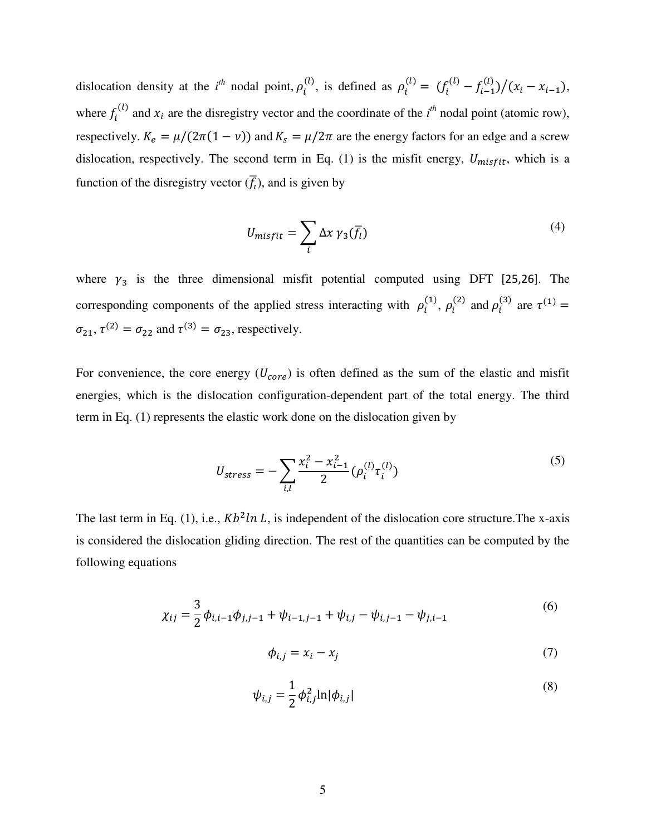dislocation density at the *i*<sup>th</sup> nodal point,  $\rho_i^{(l)}$ , is defined as  $\rho_i^{(l)} = (f_i^{(l)} - f_{i-1}^{(l)})/(x_i - x_{i-1}),$ where  $f_i^{(l)}$  and  $x_i$  are the disregistry vector and the coordinate of the  $i^{th}$  nodal point (atomic row), respectively.  $K_e = \mu/(2\pi(1 - v))$  and  $K_s = \mu/2\pi$  are the energy factors for an edge and a screw dislocation, respectively. The second term in Eq. (1) is the misfit energy,  $U_{misfit}$ , which is a function of the disregistry vector  $(\overline{f}_t)$ , and is given by

$$
U_{misfit} = \sum_{i} \Delta x \gamma_3(\overline{f}_l)
$$
 (4)

where  $\gamma_3$  is the three dimensional misfit potential computed using DFT [25,26]. The corresponding components of the applied stress interacting with  $\rho_i^{(1)}$ ,  $\rho_i^{(2)}$  and  $\rho_i^{(3)}$  are  $\tau^{(1)}$  =  $\sigma_{21}$ ,  $\tau^{(2)} = \sigma_{22}$  and  $\tau^{(3)} = \sigma_{23}$ , respectively.

For convenience, the core energy  $(U_{core})$  is often defined as the sum of the elastic and misfit energies, which is the dislocation configuration-dependent part of the total energy. The third term in Eq. (1) represents the elastic work done on the dislocation given by

$$
U_{stress} = -\sum_{i,l} \frac{x_i^2 - x_{i-1}^2}{2} (\rho_i^{(l)} \tau_i^{(l)}) \tag{5}
$$

The last term in Eq. (1), i.e.,  $Kb^2 ln L$ , is independent of the dislocation core structure. The x-axis is considered the dislocation gliding direction. The rest of the quantities can be computed by the following equations

$$
\chi_{ij} = \frac{3}{2} \phi_{i,i-1} \phi_{j,j-1} + \psi_{i-1,j-1} + \psi_{i,j} - \psi_{i,j-1} - \psi_{j,i-1}
$$
(6)

$$
\phi_{i,j} = x_i - x_j \tag{7}
$$

$$
\psi_{i,j} = \frac{1}{2} \phi_{i,j}^2 \ln |\phi_{i,j}| \tag{8}
$$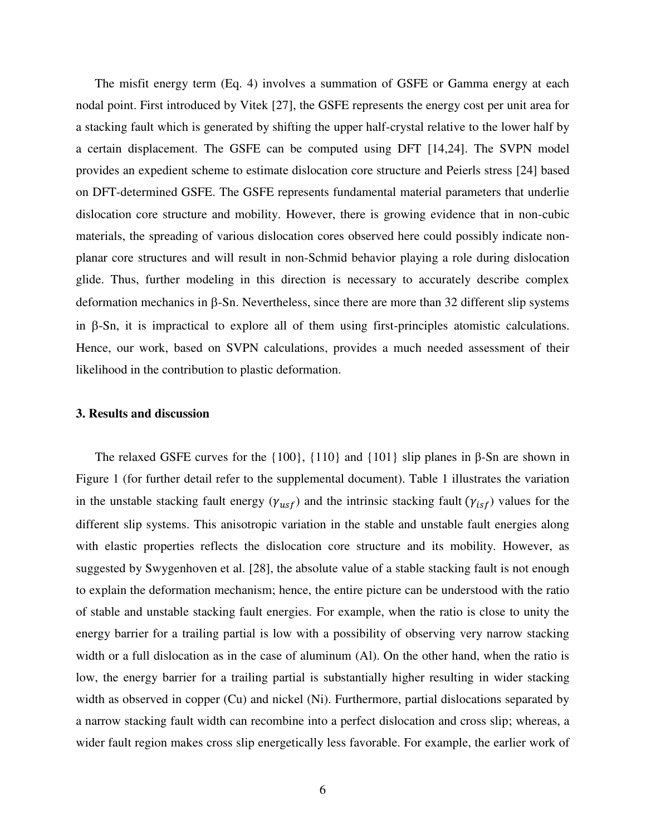The misfit energy term (Eq. 4) involves a summation of GSFE or Gamma energy at each nodal point. First introduced by Vitek [27], the GSFE represents the energy cost per unit area for a stacking fault which is generated by shifting the upper half-crystal relative to the lower half by a certain displacement. The GSFE can be computed using DFT [14,24]. The SVPN model provides an expedient scheme to estimate dislocation core structure and Peierls stress [24] based on DFT-determined GSFE. The GSFE represents fundamental material parameters that underlie dislocation core structure and mobility. However, there is growing evidence that in non-cubic materials, the spreading of various dislocation cores observed here could possibly indicate nonplanar core structures and will result in non-Schmid behavior playing a role during dislocation glide. Thus, further modeling in this direction is necessary to accurately describe complex deformation mechanics in  $\beta$ -Sn. Nevertheless, since there are more than 32 different slip systems in  $\beta$ -Sn, it is impractical to explore all of them using first-principles atomistic calculations. Hence, our work, based on SVPN calculations, provides a much needed assessment of their likelihood in the contribution to plastic deformation.

#### **3. Results and discussion**

The relaxed GSFE curves for the  $\{100\}$ ,  $\{110\}$  and  $\{101\}$  slip planes in β-Sn are shown in Figure 1 (for further detail refer to the supplemental document). Table 1 illustrates the variation in the unstable stacking fault energy ( $\gamma_{usf}$ ) and the intrinsic stacking fault ( $\gamma_{isf}$ ) values for the different slip systems. This anisotropic variation in the stable and unstable fault energies along with elastic properties reflects the dislocation core structure and its mobility. However, as suggested by Swygenhoven et al. [28], the absolute value of a stable stacking fault is not enough to explain the deformation mechanism; hence, the entire picture can be understood with the ratio of stable and unstable stacking fault energies. For example, when the ratio is close to unity the energy barrier for a trailing partial is low with a possibility of observing very narrow stacking width or a full dislocation as in the case of aluminum (Al). On the other hand, when the ratio is low, the energy barrier for a trailing partial is substantially higher resulting in wider stacking width as observed in copper (Cu) and nickel (Ni). Furthermore, partial dislocations separated by a narrow stacking fault width can recombine into a perfect dislocation and cross slip; whereas, a wider fault region makes cross slip energetically less favorable. For example, the earlier work of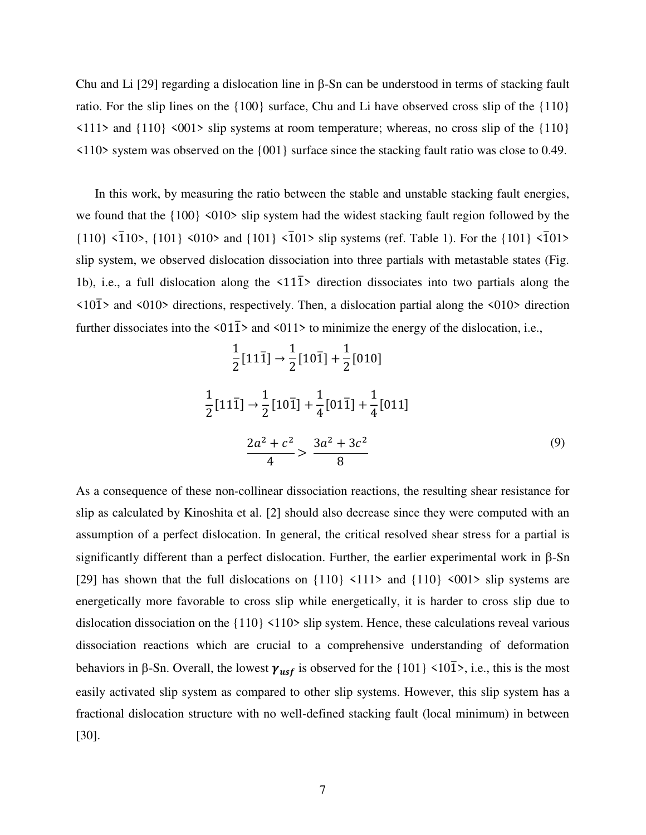Chu and Li  $[29]$  regarding a dislocation line in  $\beta$ -Sn can be understood in terms of stacking fault ratio. For the slip lines on the  $\{100\}$  surface, Chu and Li have observed cross slip of the  $\{110\}$  $\langle 111 \rangle$  and  $\{110\}$   $\langle 001 \rangle$  slip systems at room temperature; whereas, no cross slip of the  $\{110\}$ <110> system was observed on the {001} surface since the stacking fault ratio was close to 0.49.

In this work, by measuring the ratio between the stable and unstable stacking fault energies, we found that the  ${100} \times 010$  slip system had the widest stacking fault region followed by the  $\{110\}$  <1 $\{101\}$ ,  $\{101\}$  <010> and  $\{101\}$  <101> slip systems (ref. Table 1). For the  $\{101\}$  <101> slip system, we observed dislocation dissociation into three partials with metastable states (Fig. 1b), i.e., a full dislocation along the  $\langle 11\overline{1}\rangle$  direction dissociates into two partials along the  $\langle 10\overline{1}\rangle$  and  $\langle 010\rangle$  directions, respectively. Then, a dislocation partial along the  $\langle 010\rangle$  direction further dissociates into the  $\langle 01\overline{1}\rangle$  and  $\langle 011\rangle$  to minimize the energy of the dislocation, i.e.,

$$
\frac{1}{2}[11\overline{1}] \rightarrow \frac{1}{2}[10\overline{1}] + \frac{1}{2}[010]
$$
  

$$
\frac{1}{2}[11\overline{1}] \rightarrow \frac{1}{2}[10\overline{1}] + \frac{1}{4}[01\overline{1}] + \frac{1}{4}[011]
$$
  

$$
\frac{2a^2 + c^2}{4} > \frac{3a^2 + 3c^2}{8}
$$
 (9)

As a consequence of these non-collinear dissociation reactions, the resulting shear resistance for slip as calculated by Kinoshita et al. [2] should also decrease since they were computed with an assumption of a perfect dislocation. In general, the critical resolved shear stress for a partial is significantly different than a perfect dislocation. Further, the earlier experimental work in  $\beta$ -Sn [29] has shown that the full dislocations on  $\{110\}$  <111> and  $\{110\}$  <001> slip systems are energetically more favorable to cross slip while energetically, it is harder to cross slip due to dislocation dissociation on the {110} <110> slip system. Hence, these calculations reveal various dissociation reactions which are crucial to a comprehensive understanding of deformation behaviors in  $\beta$ -Sn. Overall, the lowest  $\gamma_{usf}$  is observed for the {101} <101̄>, i.e., this is the most easily activated slip system as compared to other slip systems. However, this slip system has a fractional dislocation structure with no well-defined stacking fault (local minimum) in between [30].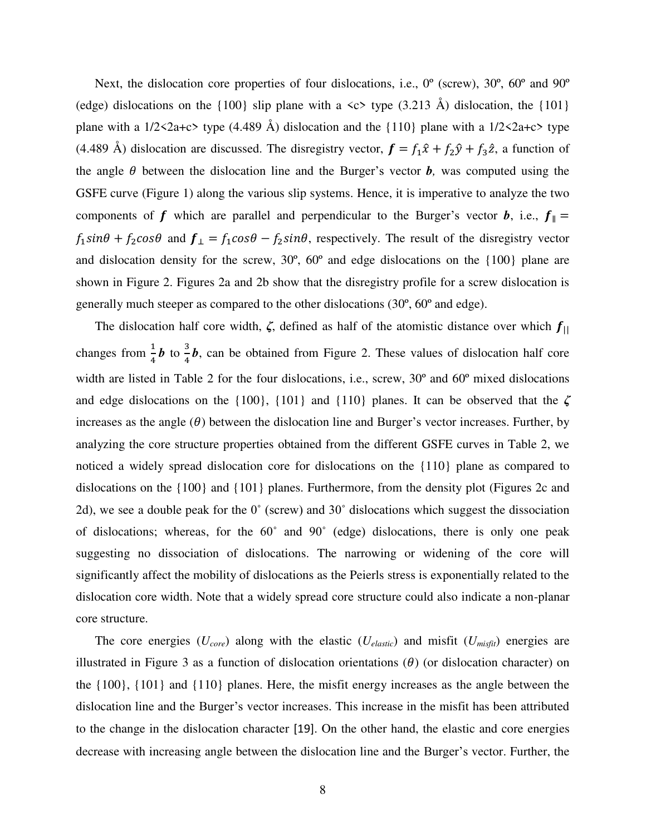Next, the dislocation core properties of four dislocations, i.e.,  $0^{\circ}$  (screw),  $30^{\circ}$ ,  $60^{\circ}$  and  $90^{\circ}$ (edge) dislocations on the  $\{100\}$  slip plane with a  $\langle c \rangle$  type  $(3.213 \text{ Å})$  dislocation, the  $\{101\}$ plane with a  $1/2 < 2a+c$  type (4.489 Å) dislocation and the {110} plane with a  $1/2 < 2a+c$  type (4.489 Å) dislocation are discussed. The disregistry vector,  $\mathbf{f} = f_1 \hat{x} + f_2 \hat{y} + f_3 \hat{z}$ , a function of the angle  $\theta$  between the dislocation line and the Burger's vector  $\boldsymbol{b}$ , was computed using the GSFE curve (Figure 1) along the various slip systems. Hence, it is imperative to analyze the two components of **f** which are parallel and perpendicular to the Burger's vector **b**, i.e.,  $f_{\parallel} =$  $f_1 \sin\theta + f_2 \cos\theta$  and  $f_1 = f_1 \cos\theta - f_2 \sin\theta$ , respectively. The result of the disregistry vector and dislocation density for the screw, 30º, 60º and edge dislocations on the {100} plane are shown in Figure 2. Figures 2a and 2b show that the disregistry profile for a screw dislocation is generally much steeper as compared to the other dislocations (30º, 60º and edge).

The dislocation half core width,  $\zeta$ , defined as half of the atomistic distance over which  $f_{\parallel}$ changes from  $\frac{1}{4}$ *b* to  $\frac{3}{4}$  $\frac{3}{4}$ *b*, can be obtained from Figure 2. These values of dislocation half core width are listed in Table 2 for the four dislocations, i.e., screw, 30º and 60º mixed dislocations and edge dislocations on the {100}, {101} and {110} planes. It can be observed that the *ζ* increases as the angle  $(\theta)$  between the dislocation line and Burger's vector increases. Further, by analyzing the core structure properties obtained from the different GSFE curves in Table 2, we noticed a widely spread dislocation core for dislocations on the {110} plane as compared to dislocations on the {100} and {101} planes. Furthermore, from the density plot (Figures 2c and 2d), we see a double peak for the 0˚ (screw) and 30˚ dislocations which suggest the dissociation of dislocations; whereas, for the 60˚ and 90˚ (edge) dislocations, there is only one peak suggesting no dissociation of dislocations. The narrowing or widening of the core will significantly affect the mobility of dislocations as the Peierls stress is exponentially related to the dislocation core width. Note that a widely spread core structure could also indicate a non-planar core structure.

The core energies  $(U_{core})$  along with the elastic  $(U_{elastic})$  and misfit  $(U_{misfit})$  energies are illustrated in Figure 3 as a function of dislocation orientations  $(\theta)$  (or dislocation character) on the {100}, {101} and {110} planes. Here, the misfit energy increases as the angle between the dislocation line and the Burger's vector increases. This increase in the misfit has been attributed to the change in the dislocation character [19]. On the other hand, the elastic and core energies decrease with increasing angle between the dislocation line and the Burger's vector. Further, the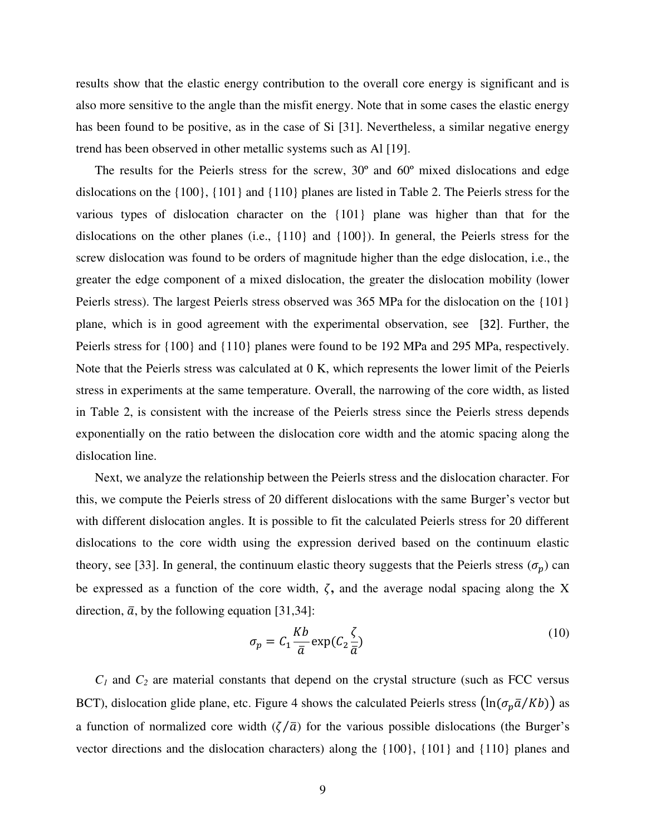results show that the elastic energy contribution to the overall core energy is significant and is also more sensitive to the angle than the misfit energy. Note that in some cases the elastic energy has been found to be positive, as in the case of Si [31]. Nevertheless, a similar negative energy trend has been observed in other metallic systems such as Al [19].

The results for the Peierls stress for the screw, 30º and 60º mixed dislocations and edge dislocations on the {100}, {101} and {110} planes are listed in Table 2. The Peierls stress for the various types of dislocation character on the {101} plane was higher than that for the dislocations on the other planes (i.e., {110} and {100}). In general, the Peierls stress for the screw dislocation was found to be orders of magnitude higher than the edge dislocation, i.e., the greater the edge component of a mixed dislocation, the greater the dislocation mobility (lower Peierls stress). The largest Peierls stress observed was 365 MPa for the dislocation on the {101} plane, which is in good agreement with the experimental observation, see [32]. Further, the Peierls stress for {100} and {110} planes were found to be 192 MPa and 295 MPa, respectively. Note that the Peierls stress was calculated at 0 K, which represents the lower limit of the Peierls stress in experiments at the same temperature. Overall, the narrowing of the core width, as listed in Table 2, is consistent with the increase of the Peierls stress since the Peierls stress depends exponentially on the ratio between the dislocation core width and the atomic spacing along the dislocation line.

Next, we analyze the relationship between the Peierls stress and the dislocation character. For this, we compute the Peierls stress of 20 different dislocations with the same Burger's vector but with different dislocation angles. It is possible to fit the calculated Peierls stress for 20 different dislocations to the core width using the expression derived based on the continuum elastic theory, see [33]. In general, the continuum elastic theory suggests that the Peierls stress  $(\sigma_p)$  can be expressed as a function of the core width,  $\zeta$ , and the average nodal spacing along the X direction,  $\bar{a}$ , by the following equation [31,34]:

$$
\sigma_p = C_1 \frac{Kb}{\bar{a}} \exp(C_2 \frac{\zeta}{\bar{a}})
$$
\n(10)

 $C_1$  and  $C_2$  are material constants that depend on the crystal structure (such as FCC versus BCT), dislocation glide plane, etc. Figure 4 shows the calculated Peierls stress  $\left(\ln(\sigma_p \bar{a}/Kb)\right)$  as a function of normalized core width  $(\zeta/\bar{a})$  for the various possible dislocations (the Burger's vector directions and the dislocation characters) along the {100}, {101} and {110} planes and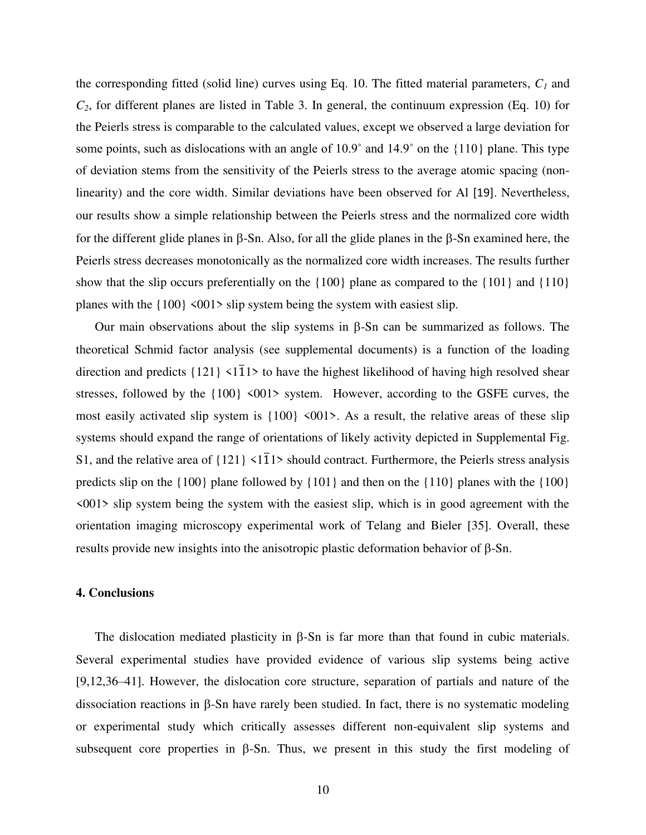the corresponding fitted (solid line) curves using Eq. 10. The fitted material parameters, *C1* and  $C_2$ , for different planes are listed in Table 3. In general, the continuum expression (Eq. 10) for the Peierls stress is comparable to the calculated values, except we observed a large deviation for some points, such as dislocations with an angle of  $10.9^\circ$  and  $14.9^\circ$  on the  $\{110\}$  plane. This type of deviation stems from the sensitivity of the Peierls stress to the average atomic spacing (nonlinearity) and the core width. Similar deviations have been observed for Al [19]. Nevertheless, our results show a simple relationship between the Peierls stress and the normalized core width for the different glide planes in  $\beta$ -Sn. Also, for all the glide planes in the  $\beta$ -Sn examined here, the Peierls stress decreases monotonically as the normalized core width increases. The results further show that the slip occurs preferentially on the {100} plane as compared to the {101} and {110} planes with the  $\{100\}$  <001> slip system being the system with easiest slip.

Our main observations about the slip systems in  $\beta$ -Sn can be summarized as follows. The theoretical Schmid factor analysis (see supplemental documents) is a function of the loading direction and predicts  $\{121\}$  <1 $\overline{1}1$  to have the highest likelihood of having high resolved shear stresses, followed by the  $\{100\}$  <001> system. However, according to the GSFE curves, the most easily activated slip system is  $\{100\}$  <001>. As a result, the relative areas of these slip systems should expand the range of orientations of likely activity depicted in Supplemental Fig. S1, and the relative area of  $\{121\}$  <1 $\overline{1}1$ > should contract. Furthermore, the Peierls stress analysis predicts slip on the  $\{100\}$  plane followed by  $\{101\}$  and then on the  $\{110\}$  planes with the  $\{100\}$  $\langle 001 \rangle$  slip system being the system with the easiest slip, which is in good agreement with the orientation imaging microscopy experimental work of Telang and Bieler [35]. Overall, these results provide new insights into the anisotropic plastic deformation behavior of  $\beta$ -Sn.

## **4. Conclusions**

The dislocation mediated plasticity in  $\beta$ -Sn is far more than that found in cubic materials. Several experimental studies have provided evidence of various slip systems being active [9,12,36–41]. However, the dislocation core structure, separation of partials and nature of the dissociation reactions in  $\beta$ -Sn have rarely been studied. In fact, there is no systematic modeling or experimental study which critically assesses different non-equivalent slip systems and subsequent core properties in  $\beta$ -Sn. Thus, we present in this study the first modeling of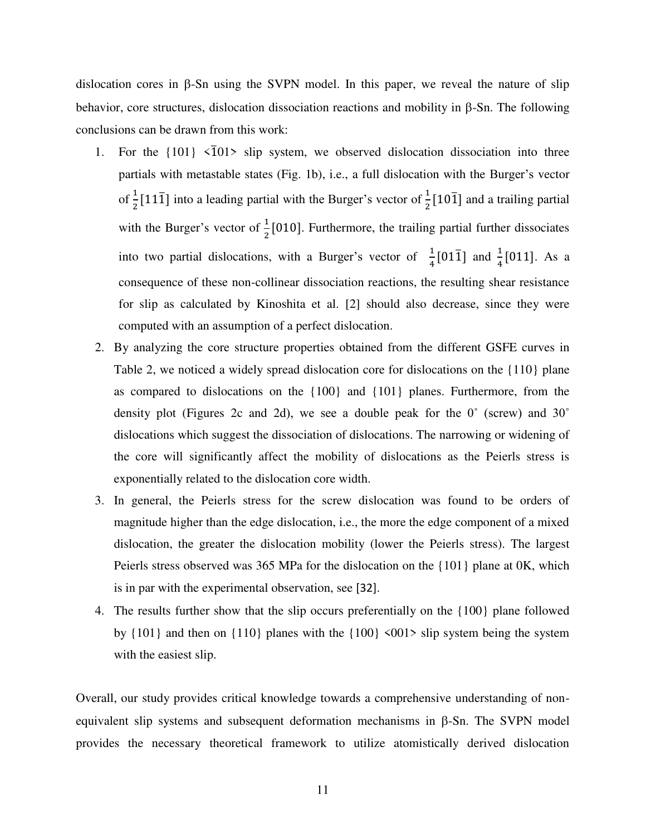dislocation cores in  $\beta$ -Sn using the SVPN model. In this paper, we reveal the nature of slip behavior, core structures, dislocation dissociation reactions and mobility in  $\beta$ -Sn. The following conclusions can be drawn from this work:

- 1. For the  $\{101\}$   $\langle \overline{1}01 \rangle$  slip system, we observed dislocation dissociation into three partials with metastable states (Fig. 1b), i.e., a full dislocation with the Burger's vector of  $\frac{1}{2}$ [11 $\overline{1}$ ] into a leading partial with the Burger's vector of  $\frac{1}{2}$ [10 $\overline{1}$ ] and a trailing partial with the Burger's vector of  $\frac{1}{2}$ [010]. Furthermore, the trailing partial further dissociates into two partial dislocations, with a Burger's vector of  $\frac{1}{4}$ [01 $\overline{1}$ ] and  $\frac{1}{4}$ [011]. As a consequence of these non-collinear dissociation reactions, the resulting shear resistance for slip as calculated by Kinoshita et al. [2] should also decrease, since they were computed with an assumption of a perfect dislocation.
- 2. By analyzing the core structure properties obtained from the different GSFE curves in Table 2, we noticed a widely spread dislocation core for dislocations on the {110} plane as compared to dislocations on the {100} and {101} planes. Furthermore, from the density plot (Figures 2c and 2d), we see a double peak for the  $0^{\circ}$  (screw) and  $30^{\circ}$ dislocations which suggest the dissociation of dislocations. The narrowing or widening of the core will significantly affect the mobility of dislocations as the Peierls stress is exponentially related to the dislocation core width.
- 3. In general, the Peierls stress for the screw dislocation was found to be orders of magnitude higher than the edge dislocation, i.e., the more the edge component of a mixed dislocation, the greater the dislocation mobility (lower the Peierls stress). The largest Peierls stress observed was 365 MPa for the dislocation on the {101} plane at 0K, which is in par with the experimental observation, see [32].
- 4. The results further show that the slip occurs preferentially on the {100} plane followed by  ${101}$  and then on  ${110}$  planes with the  ${100}$  <001> slip system being the system with the easiest slip.

Overall, our study provides critical knowledge towards a comprehensive understanding of nonequivalent slip systems and subsequent deformation mechanisms in  $\beta$ -Sn. The SVPN model provides the necessary theoretical framework to utilize atomistically derived dislocation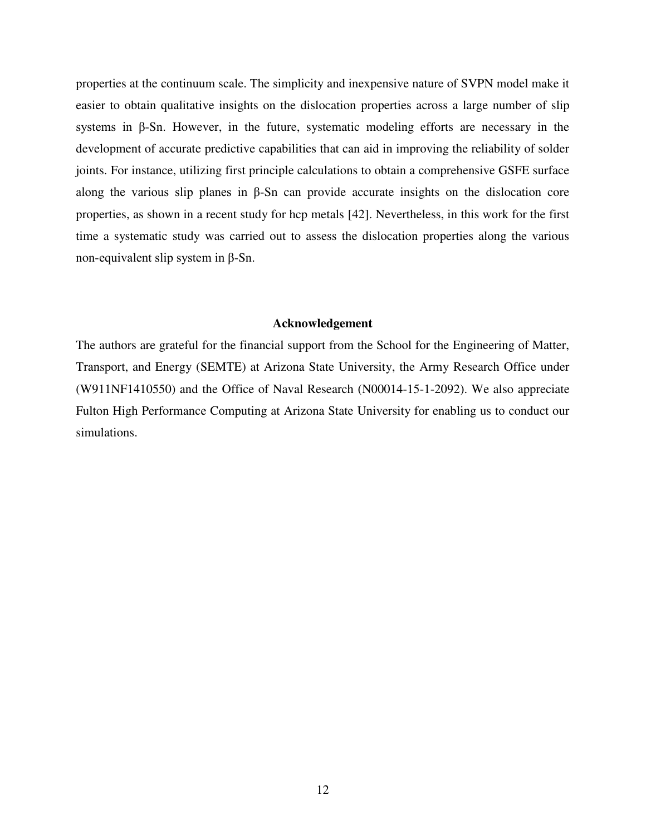properties at the continuum scale. The simplicity and inexpensive nature of SVPN model make it easier to obtain qualitative insights on the dislocation properties across a large number of slip systems in β-Sn. However, in the future, systematic modeling efforts are necessary in the development of accurate predictive capabilities that can aid in improving the reliability of solder joints. For instance, utilizing first principle calculations to obtain a comprehensive GSFE surface along the various slip planes in β-Sn can provide accurate insights on the dislocation core properties, as shown in a recent study for hcp metals [42]. Nevertheless, in this work for the first time a systematic study was carried out to assess the dislocation properties along the various non-equivalent slip system in β-Sn.

#### **Acknowledgement**

The authors are grateful for the financial support from the School for the Engineering of Matter, Transport, and Energy (SEMTE) at Arizona State University, the Army Research Office under (W911NF1410550) and the Office of Naval Research (N00014-15-1-2092). We also appreciate Fulton High Performance Computing at Arizona State University for enabling us to conduct our simulations.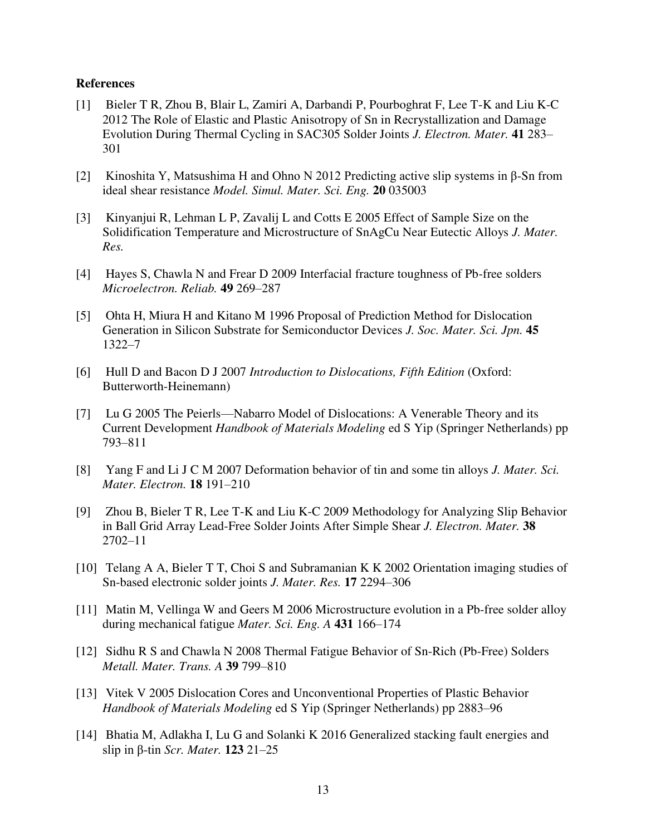## **References**

- [1] Bieler T R, Zhou B, Blair L, Zamiri A, Darbandi P, Pourboghrat F, Lee T-K and Liu K-C 2012 The Role of Elastic and Plastic Anisotropy of Sn in Recrystallization and Damage Evolution During Thermal Cycling in SAC305 Solder Joints *J. Electron. Mater.* **41** 283– 301
- [2] Kinoshita Y, Matsushima H and Ohno N 2012 Predicting active slip systems in β-Sn from ideal shear resistance *Model. Simul. Mater. Sci. Eng.* **20** 035003
- [3] Kinyanjui R, Lehman L P, Zavalij L and Cotts E 2005 Effect of Sample Size on the Solidification Temperature and Microstructure of SnAgCu Near Eutectic Alloys *J. Mater. Res.*
- [4] Hayes S, Chawla N and Frear D 2009 Interfacial fracture toughness of Pb-free solders *Microelectron. Reliab.* **49** 269–287
- [5] Ohta H, Miura H and Kitano M 1996 Proposal of Prediction Method for Dislocation Generation in Silicon Substrate for Semiconductor Devices *J. Soc. Mater. Sci. Jpn.* **45** 1322–7
- [6] Hull D and Bacon D J 2007 *Introduction to Dislocations, Fifth Edition* (Oxford: Butterworth-Heinemann)
- [7] Lu G 2005 The Peierls—Nabarro Model of Dislocations: A Venerable Theory and its Current Development *Handbook of Materials Modeling* ed S Yip (Springer Netherlands) pp 793–811
- [8] Yang F and Li J C M 2007 Deformation behavior of tin and some tin alloys *J. Mater. Sci. Mater. Electron.* **18** 191–210
- [9] Zhou B, Bieler T R, Lee T-K and Liu K-C 2009 Methodology for Analyzing Slip Behavior in Ball Grid Array Lead-Free Solder Joints After Simple Shear *J. Electron. Mater.* **38** 2702–11
- [10] Telang A A, Bieler T T, Choi S and Subramanian K K 2002 Orientation imaging studies of Sn-based electronic solder joints *J. Mater. Res.* **17** 2294–306
- [11] Matin M, Vellinga W and Geers M 2006 Microstructure evolution in a Pb-free solder alloy during mechanical fatigue *Mater. Sci. Eng. A* **431** 166–174
- [12] Sidhu R S and Chawla N 2008 Thermal Fatigue Behavior of Sn-Rich (Pb-Free) Solders *Metall. Mater. Trans. A* **39** 799–810
- [13] Vitek V 2005 Dislocation Cores and Unconventional Properties of Plastic Behavior *Handbook of Materials Modeling* ed S Yip (Springer Netherlands) pp 2883–96
- [14] Bhatia M, Adlakha I, Lu G and Solanki K 2016 Generalized stacking fault energies and slip in β-tin *Scr. Mater.* **123** 21–25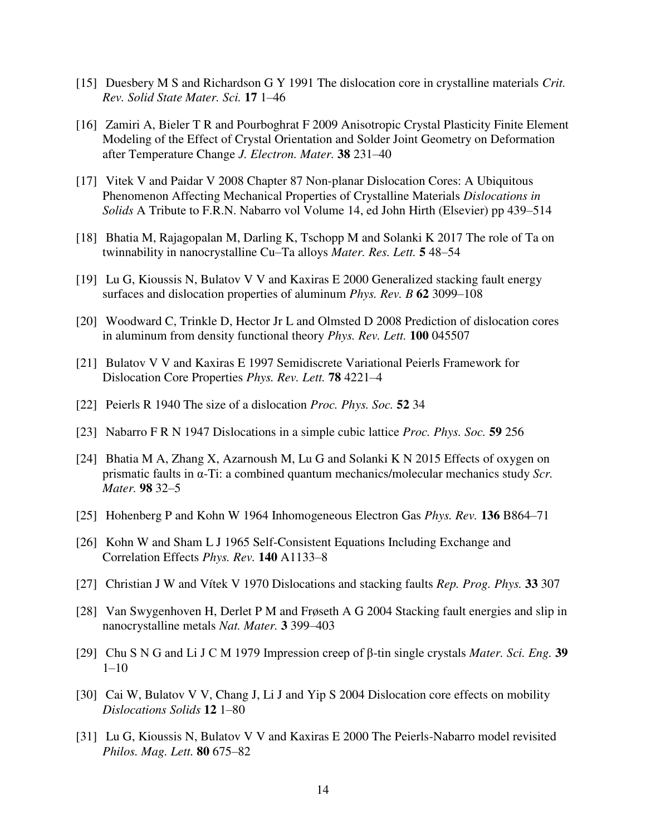- [15] Duesbery M S and Richardson G Y 1991 The dislocation core in crystalline materials *Crit*. *Rev. Solid State Mater. Sci.* **17** 1–46
- [16] Zamiri A, Bieler T R and Pourboghrat F 2009 Anisotropic Crystal Plasticity Finite Element Modeling of the Effect of Crystal Orientation and Solder Joint Geometry on Deformation after Temperature Change *J. Electron. Mater.* **38** 231–40
- [17] Vitek V and Paidar V 2008 Chapter 87 Non-planar Dislocation Cores: A Ubiquitous Phenomenon Affecting Mechanical Properties of Crystalline Materials *Dislocations in Solids* A Tribute to F.R.N. Nabarro vol Volume 14, ed John Hirth (Elsevier) pp 439–514
- [18] Bhatia M, Rajagopalan M, Darling K, Tschopp M and Solanki K 2017 The role of Ta on twinnability in nanocrystalline Cu–Ta alloys *Mater. Res. Lett.* **5** 48–54
- [19] Lu G, Kioussis N, Bulatov V V and Kaxiras E 2000 Generalized stacking fault energy surfaces and dislocation properties of aluminum *Phys. Rev. B* **62** 3099–108
- [20] Woodward C, Trinkle D, Hector Jr L and Olmsted D 2008 Prediction of dislocation cores in aluminum from density functional theory *Phys. Rev. Lett.* **100** 045507
- [21] Bulatov V V and Kaxiras E 1997 Semidiscrete Variational Peierls Framework for Dislocation Core Properties *Phys. Rev. Lett.* **78** 4221–4
- [22] Peierls R 1940 The size of a dislocation *Proc. Phys. Soc.* **52** 34
- [23] Nabarro F R N 1947 Dislocations in a simple cubic lattice *Proc. Phys. Soc.* **59** 256
- [24] Bhatia M A, Zhang X, Azarnoush M, Lu G and Solanki K N 2015 Effects of oxygen on prismatic faults in α-Ti: a combined quantum mechanics/molecular mechanics study *Scr. Mater.* **98** 32–5
- [25] Hohenberg P and Kohn W 1964 Inhomogeneous Electron Gas *Phys. Rev.* **136** B864–71
- [26] Kohn W and Sham L J 1965 Self-Consistent Equations Including Exchange and Correlation Effects *Phys. Rev.* **140** A1133–8
- [27] Christian J W and Vítek V 1970 Dislocations and stacking faults *Rep. Prog. Phys.* **33** 307
- [28] Van Swygenhoven H, Derlet P M and Frøseth A G 2004 Stacking fault energies and slip in nanocrystalline metals *Nat. Mater.* **3** 399–403
- [29] Chu S N G and Li J C M 1979 Impression creep of β-tin single crystals *Mater. Sci. Eng.* **39** 1–10
- [30] Cai W, Bulatov V V, Chang J, Li J and Yip S 2004 Dislocation core effects on mobility *Dislocations Solids* **12** 1–80
- [31] Lu G, Kioussis N, Bulatov V V and Kaxiras E 2000 The Peierls-Nabarro model revisited *Philos. Mag. Lett.* **80** 675–82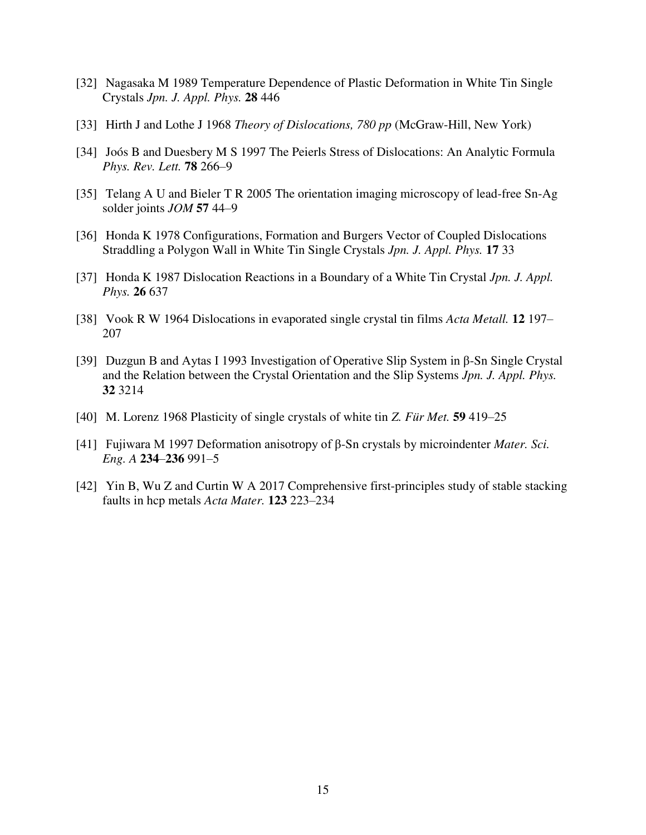- [32] Nagasaka M 1989 Temperature Dependence of Plastic Deformation in White Tin Single Crystals *Jpn. J. Appl. Phys.* **28** 446
- [33] Hirth J and Lothe J 1968 *Theory of Dislocations, 780 pp* (McGraw-Hill, New York)
- [34] Joós B and Duesbery M S 1997 The Peierls Stress of Dislocations: An Analytic Formula *Phys. Rev. Lett.* **78** 266–9
- [35] Telang A U and Bieler T R 2005 The orientation imaging microscopy of lead-free Sn-Ag solder joints *JOM* **57** 44–9
- [36] Honda K 1978 Configurations, Formation and Burgers Vector of Coupled Dislocations Straddling a Polygon Wall in White Tin Single Crystals *Jpn. J. Appl. Phys.* **17** 33
- [37] Honda K 1987 Dislocation Reactions in a Boundary of a White Tin Crystal *Jpn. J. Appl. Phys.* **26** 637
- [38] Vook R W 1964 Dislocations in evaporated single crystal tin films *Acta Metall.* **12** 197– 207
- [39] Duzgun B and Aytas I 1993 Investigation of Operative Slip System in β-Sn Single Crystal and the Relation between the Crystal Orientation and the Slip Systems *Jpn. J. Appl. Phys.* **32** 3214
- [40] M. Lorenz 1968 Plasticity of single crystals of white tin *Z. Für Met.* **59** 419–25
- [41] Fujiwara M 1997 Deformation anisotropy of β-Sn crystals by microindenter *Mater. Sci. Eng. A* **234**–**236** 991–5
- [42] Yin B, Wu Z and Curtin W A 2017 Comprehensive first-principles study of stable stacking faults in hcp metals *Acta Mater.* **123** 223–234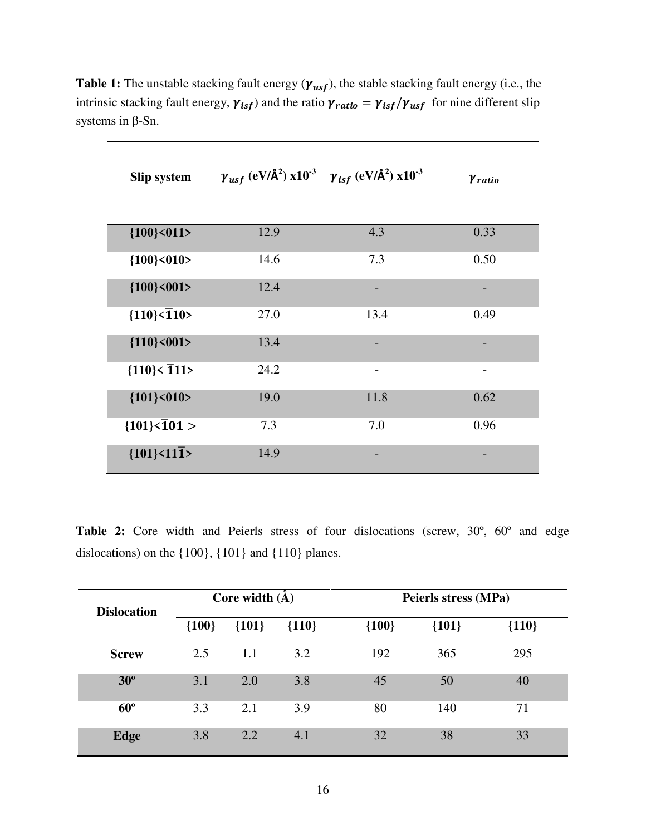| <b>Slip system</b>                             | $\gamma_{usf}$ (eV/Å <sup>2</sup> ) x10 <sup>-3</sup> $\gamma_{isf}$ (eV/Å <sup>2</sup> ) x10 <sup>-3</sup> |                              | <b>Y</b> ratio |
|------------------------------------------------|-------------------------------------------------------------------------------------------------------------|------------------------------|----------------|
|                                                |                                                                                                             |                              |                |
| ${100}\times011$                               | 12.9                                                                                                        | 4.3                          | 0.33           |
| ${100}\times010$                               | 14.6                                                                                                        | 7.3                          | 0.50           |
| ${100}$ < 001>                                 | 12.4                                                                                                        | $\qquad \qquad \blacksquare$ | -              |
| ${110}\overline{\smash{\big\{110\}}\smash{5}}$ | 27.0                                                                                                        | 13.4                         | 0.49           |
| ${110}\times001$                               | 13.4                                                                                                        |                              |                |
| ${110}\overline{\smash{\big\{111\big\}}}$      | 24.2                                                                                                        | $\overline{\phantom{a}}$     |                |
| ${101}$ <010>                                  | 19.0                                                                                                        | 11.8                         | 0.62           |
| ${101}\overline{501}$                          | 7.3                                                                                                         | 7.0                          | 0.96           |
| ${101}\times11\overline{1}$                    | 14.9                                                                                                        |                              |                |

**Table 1:** The unstable stacking fault energy  $(\gamma_{usf})$ , the stable stacking fault energy (i.e., the intrinsic stacking fault energy,  $\gamma_{isf}$ ) and the ratio  $\gamma_{ratio} = \gamma_{isf}/\gamma_{usf}$  for nine different slip systems in β-Sn.

**Table 2:** Core width and Peierls stress of four dislocations (screw, 30º, 60º and edge dislocations) on the {100}, {101} and {110} planes.

| <b>Dislocation</b> |         | Core width $(\AA)$ |         | Peierls stress (MPa) |         |         |
|--------------------|---------|--------------------|---------|----------------------|---------|---------|
|                    | ${100}$ | ${101}$            | ${110}$ | ${100}$              | ${101}$ | ${110}$ |
| <b>Screw</b>       | 2.5     | $1.1\,$            | 3.2     | 192                  | 365     | 295     |
| $30^{\circ}$       | 3.1     | 2.0                | 3.8     | 45                   | 50      | 40      |
| $60^{\circ}$       | 3.3     | 2.1                | 3.9     | 80                   | 140     | 71      |
| Edge               | 3.8     | 2.2                | 4.1     | 32                   | 38      | 33      |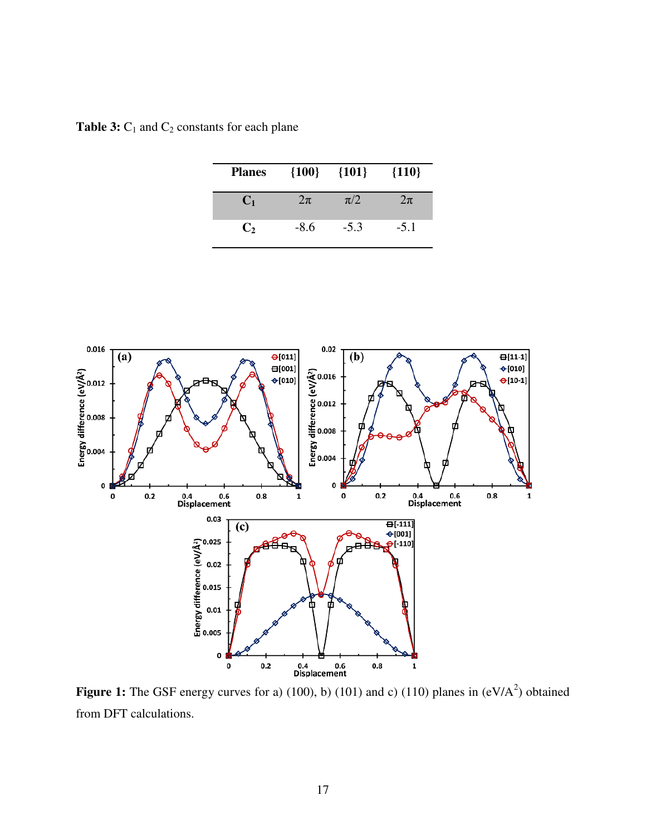| <b>Planes</b>  | ${100}$ | ${101}$ | ${110}$ |
|----------------|---------|---------|---------|
| $\mathbf{C}_1$ | $2\pi$  | $\pi/2$ | $2\pi$  |
| $\mathbf{C}_2$ | $-8.6$  | $-5.3$  | $-5.1$  |

**Table 3:**  $C_1$  and  $C_2$  constants for each plane



**Figure 1:** The GSF energy curves for a) (100), b) (101) and c) (110) planes in  $(eV/A<sup>2</sup>)$  obtained from DFT calculations.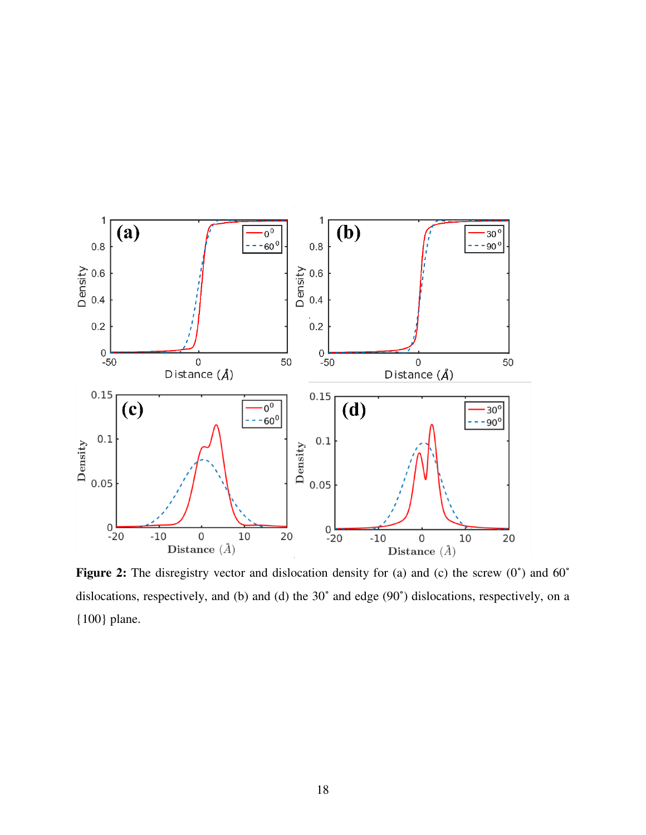

Figure 2: The disregistry vector and dislocation density for (a) and (c) the screw (0<sup>°</sup>) and 60<sup>°</sup> dislocations, respectively, and (b) and (d) the 30˚ and edge (90˚) dislocations, respectively, on a {100} plane.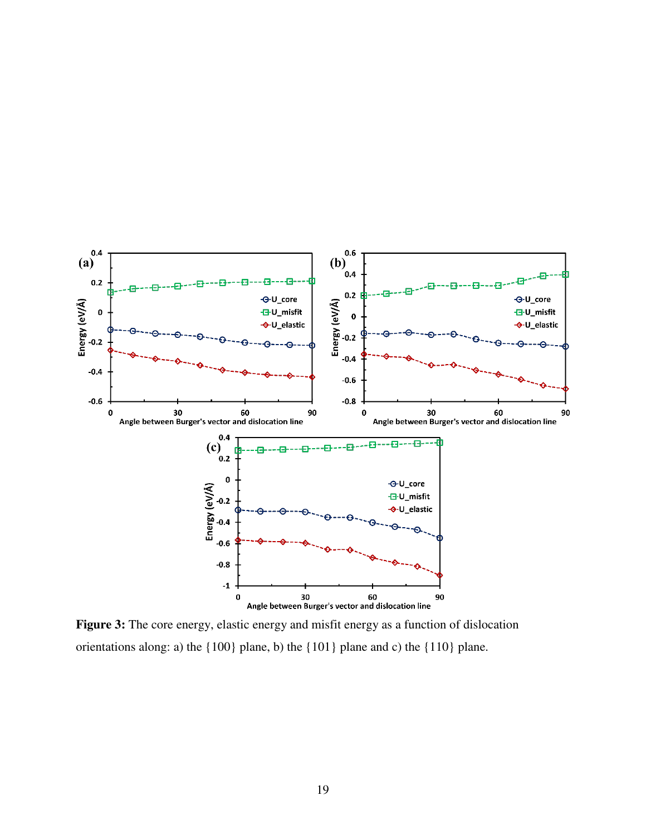

**Figure 3:** The core energy, elastic energy and misfit energy as a function of dislocation orientations along: a) the {100} plane, b) the {101} plane and c) the {110} plane.